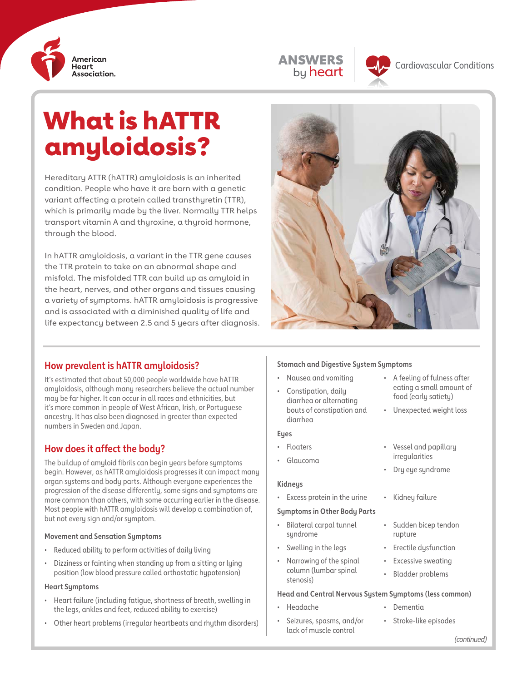

| <b><i>NSWERS</i></b> |
|----------------------|
| by <b>heart</b>      |



**ANSWERS Cardiovascular Conditions** 

# What is hATTR amyloidosis?

Hereditary ATTR (hATTR) amyloidosis is an inherited condition. People who have it are born with a genetic variant affecting a protein called transthyretin (TTR), which is primarily made by the liver. Normally TTR helps transport vitamin A and thyroxine, a thyroid hormone, through the blood.

In hATTR amyloidosis, a variant in the TTR gene causes the TTR protein to take on an abnormal shape and misfold. The misfolded TTR can build up as amyloid in the heart, nerves, and other organs and tissues causing a variety of symptoms. hATTR amyloidosis is progressive and is associated with a diminished quality of life and life expectancy between 2.5 and 5 years after diagnosis.



## **How prevalent is hATTR amyloidosis?**

It's estimated that about 50,000 people worldwide have hATTR amyloidosis, although many researchers believe the actual number may be far higher. It can occur in all races and ethnicities, but it's more common in people of West African, Irish, or Portuguese ancestry. It has also been diagnosed in greater than expected numbers in Sweden and Japan.

## **How does it affect the body?**

The buildup of amyloid fibrils can begin years before symptoms begin. However, as hATTR amyloidosis progresses it can impact many organ systems and body parts. Although everyone experiences the progression of the disease differently, some signs and symptoms are more common than others, with some occurring earlier in the disease. Most people with hATTR amyloidosis will develop a combination of, but not every sign and/or symptom.

#### **Movement and Sensation Symptoms**

- Reduced ability to perform activities of daily living
- Dizziness or fainting when standing up from a sitting or lying position (low blood pressure called orthostatic hypotension)

#### **Heart Symptoms**

- Heart failure (including fatigue, shortness of breath, swelling in the legs, ankles and feet, reduced ability to exercise)
- Other heart problems (irregular heartbeats and rhythm disorders)

#### **Stomach and Digestive System Symptoms**

- Nausea and vomiting
- Constipation, daily diarrhea or alternating bouts of constipation and diarrhea

#### **Eyes**

- Floaters
- Glaucoma

#### **Kidneys**

Excess protein in the urine • Kidney failure

#### **Symptoms in Other Body Parts**

- Bilateral carpal tunnel syndrome
- Swelling in the legs
- Narrowing of the spinal column (lumbar spinal stenosis)

• Seizures, spasms, and/or lack of muscle control

#### **Head and Central Nervous System Symptoms (less common)**

- Headache
- Stroke-like episodes

• Dementia

• A feeling of fulness after eating a small amount of food (early satiety) • Unexpected weight loss

• Vessel and papillary irregularities • Dry eye syndrome

• Sudden bicep tendon

• Erectile dysfunction **Excessive sweating** • Bladder problems

rupture

*(continued)*